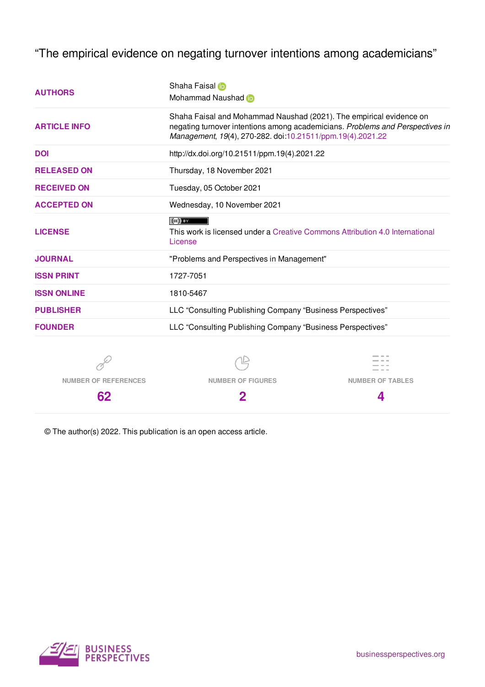"The empirical evidence on negating turnover intentions among academicians"

| <b>AUTHORS</b>              | Shaha Faisal in<br>Mohammad Naushad in                                                                                                                                                                             |                         |  |  |
|-----------------------------|--------------------------------------------------------------------------------------------------------------------------------------------------------------------------------------------------------------------|-------------------------|--|--|
| <b>ARTICLE INFO</b>         | Shaha Faisal and Mohammad Naushad (2021). The empirical evidence on<br>negating turnover intentions among academicians. Problems and Perspectives in<br>Management, 19(4), 270-282. doi:10.21511/ppm.19(4).2021.22 |                         |  |  |
| <b>DOI</b>                  | http://dx.doi.org/10.21511/ppm.19(4).2021.22                                                                                                                                                                       |                         |  |  |
| <b>RELEASED ON</b>          | Thursday, 18 November 2021                                                                                                                                                                                         |                         |  |  |
| <b>RECEIVED ON</b>          | Tuesday, 05 October 2021                                                                                                                                                                                           |                         |  |  |
| <b>ACCEPTED ON</b>          | Wednesday, 10 November 2021                                                                                                                                                                                        |                         |  |  |
| <b>LICENSE</b>              | $(cc)$ BY<br>This work is licensed under a Creative Commons Attribution 4.0 International<br>License                                                                                                               |                         |  |  |
| <b>JOURNAL</b>              | "Problems and Perspectives in Management"                                                                                                                                                                          |                         |  |  |
| <b>ISSN PRINT</b>           | 1727-7051                                                                                                                                                                                                          |                         |  |  |
| <b>ISSN ONLINE</b>          | 1810-5467                                                                                                                                                                                                          |                         |  |  |
| <b>PUBLISHER</b>            | LLC "Consulting Publishing Company "Business Perspectives"                                                                                                                                                         |                         |  |  |
| <b>FOUNDER</b>              | LLC "Consulting Publishing Company "Business Perspectives"                                                                                                                                                         |                         |  |  |
|                             |                                                                                                                                                                                                                    |                         |  |  |
| <b>NUMBER OF REFERENCES</b> | <b>NUMBER OF FIGURES</b>                                                                                                                                                                                           | <b>NUMBER OF TABLES</b> |  |  |
| 62                          | 2                                                                                                                                                                                                                  | 4                       |  |  |

© The author(s) 2022. This publication is an open access article.

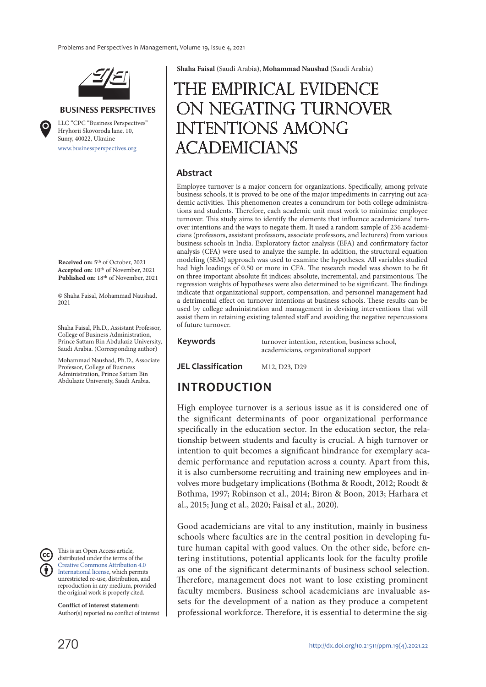

#### **BUSINESS PERSPECTIVES**

www.businessperspectives.org LLC "СPС "Business Perspectives" Hryhorii Skovoroda lane, 10, Sumy, 40022, Ukraine

**Received on:** 5th of October, 2021 **Accepted on:** 10th of November, 2021 **Published on:** 18th of November, 2021

© Shaha Faisal, Mohammad Naushad, 2021

Shaha Faisal, Ph.D., Assistant Professor, College of Business Administration, Prince Sattam Bin Abdulaziz University, Saudi Arabia. (Corresponding author)

Mohammad Naushad, Ph.D., Associate Professor, College of Business Administration, Prince Sattam Bin Abdulaziz University, Saudi Arabia.



This is an Open Access article, distributed under the terms of the Creative Commons Attribution 4.0 International license, which permits unrestricted re-use, distribution, and reproduction in any medium, provided the original work is properly cited.

**Conflict of interest statement:**  Author(s) reported no conflict of interest **Shaha Faisal** (Saudi Arabia), **Mohammad Naushad** (Saudi Arabia)

# The empirical evidence ON NEGATING TURNOVER intentions among **ACADEMICIANS**

#### **Abstract**

Employee turnover is a major concern for organizations. Specifically, among private business schools, it is proved to be one of the major impediments in carrying out academic activities. This phenomenon creates a conundrum for both college administrations and students. Therefore, each academic unit must work to minimize employee turnover. This study aims to identify the elements that influence academicians' turnover intentions and the ways to negate them. It used a random sample of 236 academicians (professors, assistant professors, associate professors, and lecturers) from various business schools in India. Exploratory factor analysis (EFA) and confirmatory factor analysis (CFA) were used to analyze the sample. In addition, the structural equation modeling (SEM) approach was used to examine the hypotheses. All variables studied had high loadings of 0.50 or more in CFA. The research model was shown to be fit on three important absolute fit indices: absolute, incremental, and parsimonious. The regression weights of hypotheses were also determined to be significant. The findings indicate that organizational support, compensation, and personnel management had a detrimental effect on turnover intentions at business schools. These results can be used by college administration and management in devising interventions that will assist them in retaining existing talented staff and avoiding the negative repercussions of future turnover.

**Keywords** turnover intention, retention, business school, academicians, organizational support

**JEL Classification** M12, D23, D29

## **INTRODUCTION**

High employee turnover is a serious issue as it is considered one of the significant determinants of poor organizational performance specifically in the education sector. In the education sector, the relationship between students and faculty is crucial. A high turnover or intention to quit becomes a significant hindrance for exemplary academic performance and reputation across a county. Apart from this, it is also cumbersome recruiting and training new employees and involves more budgetary implications (Bothma & Roodt, 2012; Roodt & Bothma, 1997; Robinson et al., 2014; Biron & Boon, 2013; Harhara et al., 2015; Jung et al., 2020; Faisal et al., 2020).

Good academicians are vital to any institution, mainly in business schools where faculties are in the central position in developing future human capital with good values. On the other side, before entering institutions, potential applicants look for the faculty profile as one of the significant determinants of business school selection. Therefore, management does not want to lose existing prominent faculty members. Business school academicians are invaluable assets for the development of a nation as they produce a competent professional workforce. Therefore, it is essential to determine the sig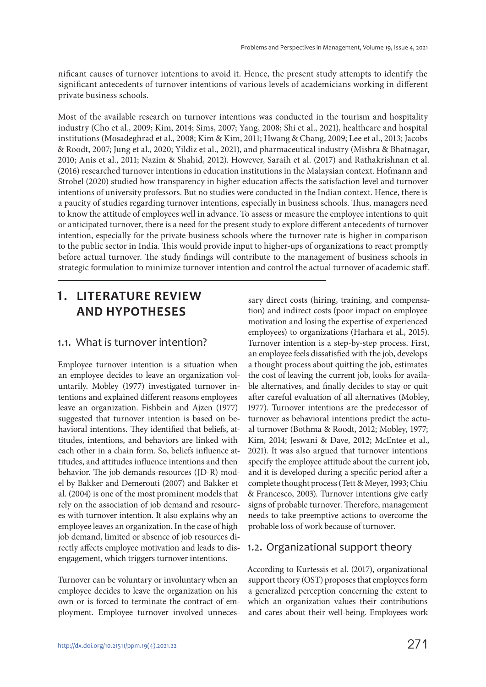nificant causes of turnover intentions to avoid it. Hence, the present study attempts to identify the significant antecedents of turnover intentions of various levels of academicians working in different private business schools.

Most of the available research on turnover intentions was conducted in the tourism and hospitality industry (Cho et al., 2009; Kim, 2014; Sims, 2007; Yang, 2008; Shi et al., 2021), healthcare and hospital institutions (Mosadeghrad et al., 2008; Kim & Kim, 2011; Hwang & Chang, 2009; Lee et al., 2013; Jacobs & Roodt, 2007; Jung et al., 2020; Yildiz et al., 2021), and pharmaceutical industry (Mishra & Bhatnagar, 2010; Anis et al., 2011; Nazim & Shahid, 2012). However, Saraih et al. (2017) and Rathakrishnan et al. (2016) researched turnover intentions in education institutions in the Malaysian context. Hofmann and Strobel (2020) studied how transparency in higher education affects the satisfaction level and turnover intentions of university professors. But no studies were conducted in the Indian context. Hence, there is a paucity of studies regarding turnover intentions, especially in business schools. Thus, managers need to know the attitude of employees well in advance. To assess or measure the employee intentions to quit or anticipated turnover, there is a need for the present study to explore different antecedents of turnover intention, especially for the private business schools where the turnover rate is higher in comparison to the public sector in India. This would provide input to higher-ups of organizations to react promptly before actual turnover. The study findings will contribute to the management of business schools in strategic formulation to minimize turnover intention and control the actual turnover of academic staff.

## **1. LITERATURE REVIEW AND HYPOTHESES**

#### 1.1. What is turnover intention?

Employee turnover intention is a situation when an employee decides to leave an organization voluntarily. Mobley (1977) investigated turnover intentions and explained different reasons employees leave an organization. Fishbein and Ajzen (1977) suggested that turnover intention is based on behavioral intentions. They identified that beliefs, attitudes, intentions, and behaviors are linked with each other in a chain form. So, beliefs influence attitudes, and attitudes influence intentions and then behavior. The job demands-resources (JD-R) model by Bakker and Demerouti (2007) and Bakker et al. (2004) is one of the most prominent models that rely on the association of job demand and resources with turnover intention. It also explains why an employee leaves an organization. In the case of high job demand, limited or absence of job resources directly affects employee motivation and leads to disengagement, which triggers turnover intentions.

Turnover can be voluntary or involuntary when an employee decides to leave the organization on his own or is forced to terminate the contract of employment. Employee turnover involved unneces-

sary direct costs (hiring, training, and compensation) and indirect costs (poor impact on employee motivation and losing the expertise of experienced employees) to organizations (Harhara et al., 2015). Turnover intention is a step-by-step process. First, an employee feels dissatisfied with the job, develops a thought process about quitting the job, estimates the cost of leaving the current job, looks for available alternatives, and finally decides to stay or quit after careful evaluation of all alternatives (Mobley, 1977). Turnover intentions are the predecessor of turnover as behavioral intentions predict the actual turnover (Bothma & Roodt, 2012; Mobley, 1977; Kim, 2014; Jeswani & Dave, 2012; McEntee et al., 2021). It was also argued that turnover intentions specify the employee attitude about the current job, and it is developed during a specific period after a complete thought process (Tett & Meyer, 1993; Chiu & Francesco, 2003). Turnover intentions give early signs of probable turnover. Therefore, management needs to take preemptive actions to overcome the probable loss of work because of turnover.

#### 1.2. Organizational support theory

According to Kurtessis et al. (2017), organizational support theory (OST) proposes that employees form a generalized perception concerning the extent to which an organization values their contributions and cares about their well-being. Employees work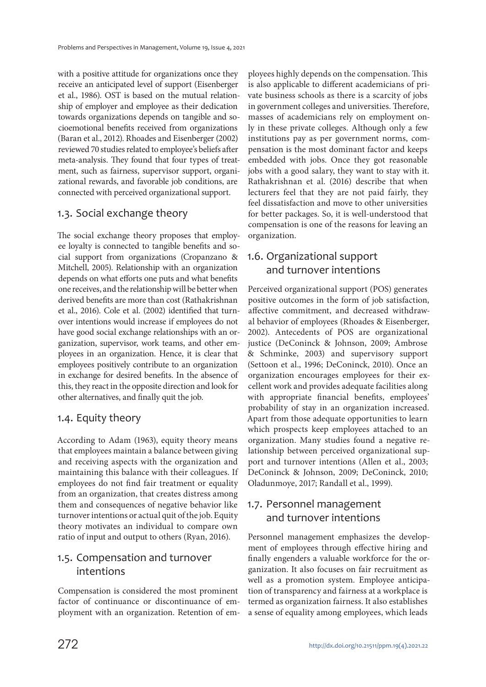with a positive attitude for organizations once they receive an anticipated level of support (Eisenberger et al., 1986). OST is based on the mutual relationship of employer and employee as their dedication towards organizations depends on tangible and socioemotional benefits received from organizations (Baran et al., 2012). Rhoades and Eisenberger (2002) reviewed 70 studies related to employee's beliefs after meta-analysis. They found that four types of treatment, such as fairness, supervisor support, organizational rewards, and favorable job conditions, are connected with perceived organizational support.

#### 1.3. Social exchange theory

The social exchange theory proposes that employee loyalty is connected to tangible benefits and social support from organizations (Cropanzano & Mitchell, 2005). Relationship with an organization depends on what efforts one puts and what benefits one receives, and the relationship will be better when derived benefits are more than cost (Rathakrishnan et al., 2016). Cole et al. (2002) identified that turnover intentions would increase if employees do not have good social exchange relationships with an organization, supervisor, work teams, and other employees in an organization. Hence, it is clear that employees positively contribute to an organization in exchange for desired benefits. In the absence of this, they react in the opposite direction and look for other alternatives, and finally quit the job.

#### 1.4. Equity theory

According to Adam (1963), equity theory means that employees maintain a balance between giving and receiving aspects with the organization and maintaining this balance with their colleagues. If employees do not find fair treatment or equality from an organization, that creates distress among them and consequences of negative behavior like turnover intentions or actual quit of the job. Equity theory motivates an individual to compare own ratio of input and output to others (Ryan, 2016).

#### 1.5. Compensation and turnover intentions

Compensation is considered the most prominent factor of continuance or discontinuance of employment with an organization. Retention of employees highly depends on the compensation. This is also applicable to different academicians of private business schools as there is a scarcity of jobs in government colleges and universities. Therefore, masses of academicians rely on employment only in these private colleges. Although only a few institutions pay as per government norms, compensation is the most dominant factor and keeps embedded with jobs. Once they got reasonable jobs with a good salary, they want to stay with it. Rathakrishnan et al. (2016) describe that when lecturers feel that they are not paid fairly, they feel dissatisfaction and move to other universities for better packages. So, it is well-understood that compensation is one of the reasons for leaving an organization.

### 1.6. Organizational support and turnover intentions

Perceived organizational support (POS) generates positive outcomes in the form of job satisfaction, affective commitment, and decreased withdrawal behavior of employees (Rhoades & Eisenberger, 2002). Antecedents of POS are organizational justice (DeConinck & Johnson, 2009; Ambrose & Schminke, 2003) and supervisory support (Settoon et al., 1996; DeConinck, 2010). Once an organization encourages employees for their excellent work and provides adequate facilities along with appropriate financial benefits, employees' probability of stay in an organization increased. Apart from those adequate opportunities to learn which prospects keep employees attached to an organization. Many studies found a negative relationship between perceived organizational support and turnover intentions (Allen et al., 2003; DeConinck & Johnson, 2009; DeConinck, 2010; Oladunmoye, 2017; Randall et al., 1999).

### 1.7. Personnel management and turnover intentions

Personnel management emphasizes the development of employees through effective hiring and finally engenders a valuable workforce for the organization. It also focuses on fair recruitment as well as a promotion system. Employee anticipation of transparency and fairness at a workplace is termed as organization fairness. It also establishes a sense of equality among employees, which leads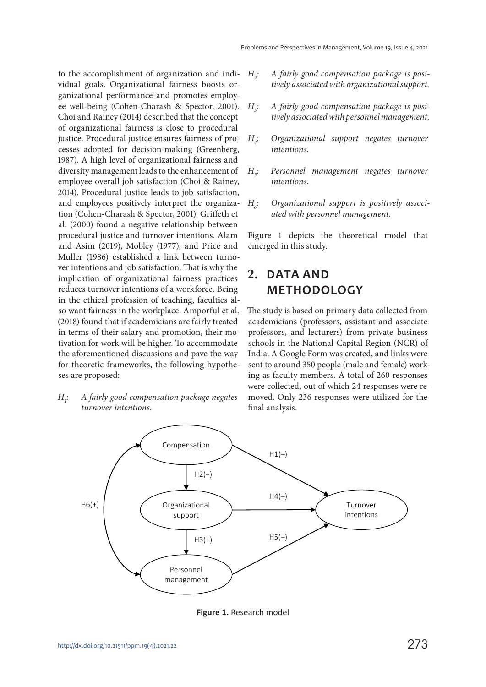to the accomplishment of organization and individual goals. Organizational fairness boosts organizational performance and promotes employee well-being (Cohen-Charash & Spector, 2001). Choi and Rainey (2014) described that the concept of organizational fairness is close to procedural justice. Procedural justice ensures fairness of processes adopted for decision-making (Greenberg, 1987). A high level of organizational fairness and diversity management leads to the enhancement of employee overall job satisfaction (Choi & Rainey, 2014). Procedural justice leads to job satisfaction, and employees positively interpret the organization (Cohen-Charash & Spector, 2001). Griffeth et al. (2000) found a negative relationship between procedural justice and turnover intentions. Alam and Asim (2019), Mobley (1977), and Price and Muller (1986) established a link between turnover intentions and job satisfaction. That is why the implication of organizational fairness practices reduces turnover intentions of a workforce. Being in the ethical profession of teaching, faculties also want fairness in the workplace. Amporful et al. (2018) found that if academicians are fairly treated in terms of their salary and promotion, their motivation for work will be higher. To accommodate the aforementioned discussions and pave the way for theoretic frameworks, the following hypotheses are proposed:

 $H_i$ : : A fairly good compensation package negates turnover intentions.

- $H_{\sim}$ : A fairly good compensation package is positively associated with organizational support.
- $H<sub>1</sub>$ : A fairly good compensation package is positively associated with personnel management.
- $H_{\ddot{\sigma}}$ : Organizational support negates turnover intentions.
- $H$ : : Personnel management negates turnover intentions.
- $H_{\sigma}$ : Organizational support is positively associated with personnel management.

Figure 1 depicts the theoretical model that emerged in this study.

## **2. DATA AND METHODOLOGY**

The study is based on primary data collected from academicians (professors, assistant and associate professors, and lecturers) from private business schools in the National Capital Region (NCR) of India. A Google Form was created, and links were sent to around 350 people (male and female) working as faculty members. A total of 260 responses were collected, out of which 24 responses were removed. Only 236 responses were utilized for the final analysis.



**Figure 1.** Research model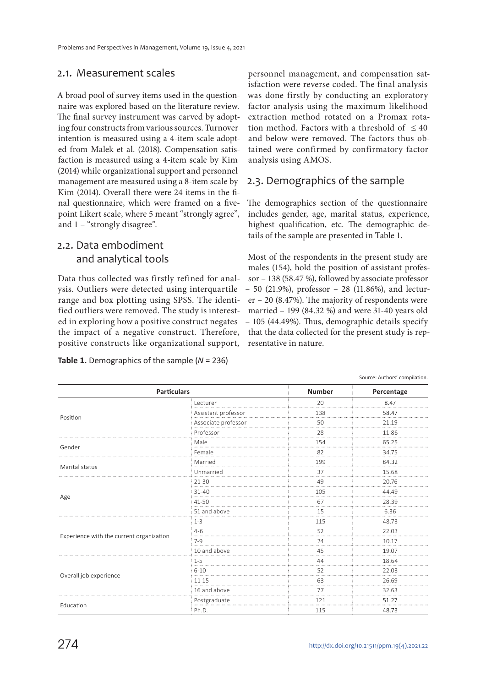#### 2.1. Measurement scales

A broad pool of survey items used in the questionnaire was explored based on the literature review. The final survey instrument was carved by adopting four constructs from various sources. Turnover intention is measured using a 4-item scale adopted from Malek et al. (2018). Compensation satisfaction is measured using a 4-item scale by Kim (2014) while organizational support and personnel management are measured using a 8-item scale by Kim (2014). Overall there were 24 items in the final questionnaire, which were framed on a fivepoint Likert scale, where 5 meant "strongly agree", and 1 – "strongly disagree".

#### 2.2. Data embodiment and analytical tools

Data thus collected was firstly refined for analysis. Outliers were detected using interquartile range and box plotting using SPSS. The identified outliers were removed. The study is interested in exploring how a positive construct negates the impact of a negative construct. Therefore, positive constructs like organizational support,

**Table 1.** Demographics of the sample (*N* = 236)

personnel management, and compensation satisfaction were reverse coded. The final analysis was done firstly by conducting an exploratory factor analysis using the maximum likelihood extraction method rotated on a Promax rotation method. Factors with a threshold of  $\leq 40$ and below were removed. The factors thus obtained were confirmed by confirmatory factor analysis using AMOS.

#### 2.3. Demographics of the sample

The demographics section of the questionnaire includes gender, age, marital status, experience, highest qualification, etc. The demographic details of the sample are presented in Table 1.

Most of the respondents in the present study are males (154), hold the position of assistant professor – 138 (58.47 %), followed by associate professor – 50 (21.9%), professor – 28 (11.86%), and lecturer – 20 (8.47%). The majority of respondents were married – 199 (84.32 %) and were 31-40 years old – 105 (44.49%). Thus, demographic details specify that the data collected for the present study is representative in nature.

|                                          |                     |               | Source: Authors' compilation. |
|------------------------------------------|---------------------|---------------|-------------------------------|
| <b>Particulars</b>                       |                     | <b>Number</b> | Percentage                    |
|                                          | Lecturer            | 20            | 8.47                          |
|                                          | Assistant professor | 138           | 58.47                         |
| Position                                 | Associate professor | 50            | 21.19                         |
|                                          | Professor           | 28            | 11.86                         |
|                                          | Male                | 154           | 65.25                         |
| Gender                                   | Female              | 82            | 34.75                         |
|                                          | Married             | 199           | 84.32                         |
| Marital status                           | Unmarried           | 37            | 15.68                         |
|                                          | $21-30$             | 49            | 20.76                         |
|                                          | $31 - 40$           | 105           | 44.49                         |
| Age                                      | 41-50               | 67            | 28.39                         |
|                                          | 51 and above        | 15            | 6.36                          |
|                                          | $1 - 3$             | 115           | 48.73                         |
|                                          | $4 - 6$             | 52            | 22.03                         |
| Experience with the current organization | $7-9$               | 24            | 10.17                         |
|                                          | 10 and above        | 45            | 19.07                         |
|                                          | $1 - 5$             | 44            | 18.64                         |
|                                          | $6 - 10$            | 52            | 22.03                         |
| Overall job experience                   | $11 - 15$           | 63            | 26.69                         |
|                                          | 16 and above        | 77            | 32.63                         |
|                                          | Postgraduate        | 121           | 51.27                         |
| Education                                | Ph.D.               | 115           | 48.73                         |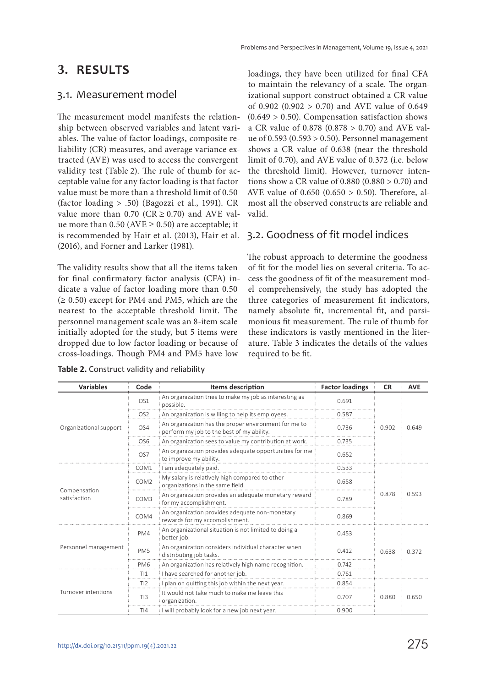#### **3. RESULTS**

#### 3.1. Measurement model

The measurement model manifests the relationship between observed variables and latent variables. The value of factor loadings, composite reliability (CR) measures, and average variance extracted (AVE) was used to access the convergent validity test (Table 2). The rule of thumb for acceptable value for any factor loading is that factor value must be more than a threshold limit of 0.50 (factor loading > .50) (Bagozzi et al., 1991). CR value more than 0.70 ( $CR \ge 0.70$ ) and AVE value more than 0.50 ( $AVE \ge 0.50$ ) are acceptable; it is recommended by Hair et al. (2013), Hair et al. (2016), and Forner and Larker (1981).

The validity results show that all the items taken for final confirmatory factor analysis (CFA) indicate a value of factor loading more than 0.50  $(≥ 0.50)$  except for PM4 and PM5, which are the nearest to the acceptable threshold limit. The personnel management scale was an 8-item scale initially adopted for the study, but 5 items were dropped due to low factor loading or because of cross-loadings. Though PM4 and PM5 have low

|  |  | Table 2. Construct validity and reliability |  |
|--|--|---------------------------------------------|--|
|--|--|---------------------------------------------|--|

loadings, they have been utilized for final CFA to maintain the relevancy of a scale. The organizational support construct obtained a CR value of 0.902 (0.902  $> 0.70$ ) and AVE value of 0.649  $(0.649 > 0.50)$ . Compensation satisfaction shows a CR value of 0.878 (0.878 > 0.70) and AVE value of 0.593 (0.593 > 0.50). Personnel management shows a CR value of 0.638 (near the threshold limit of 0.70), and AVE value of 0.372 (i.e. below the threshold limit). However, turnover intentions show a CR value of  $0.880$   $(0.880 > 0.70)$  and AVE value of 0.650 (0.650 > 0.50). Therefore, almost all the observed constructs are reliable and valid.

#### 3.2. Goodness of fit model indices

The robust approach to determine the goodness of fit for the model lies on several criteria. To access the goodness of fit of the measurement model comprehensively, the study has adopted the three categories of measurement fit indicators, namely absolute fit, incremental fit, and parsimonious fit measurement. The rule of thumb for these indicators is vastly mentioned in the literature. Table 3 indicates the details of the values required to be fit.

| <b>Variables</b>             | Code             | <b>Items description</b>                                                                          | <b>Factor loadings</b> | <b>CR</b> | <b>AVE</b> |
|------------------------------|------------------|---------------------------------------------------------------------------------------------------|------------------------|-----------|------------|
| Organizational support       | OS <sub>1</sub>  | An organization tries to make my job as interesting as<br>possible.                               | 0.691                  |           |            |
|                              | OS <sub>2</sub>  | An organization is willing to help its employees.                                                 | 0.587                  |           |            |
|                              | OS4              | An organization has the proper environment for me to<br>perform my job to the best of my ability. | 0.736                  | 0.902     | 0.649      |
|                              | OS <sub>6</sub>  | An organization sees to value my contribution at work.                                            | 0.735                  |           |            |
|                              | OS7              | An organization provides adequate opportunities for me<br>to improve my ability.                  | 0.652                  |           |            |
|                              | COM1             | I am adequately paid.                                                                             | 0.533                  |           |            |
|                              | COM <sub>2</sub> | My salary is relatively high compared to other<br>organizations in the same field.                | 0.658<br>0.789         |           | 0.593      |
| Compensation<br>satisfaction | COM3             | An organization provides an adequate monetary reward<br>for my accomplishment.                    |                        |           |            |
|                              | COM4             | An organization provides adequate non-monetary<br>rewards for my accomplishment.                  | 0.869                  |           |            |
| Personnel management         | PM4              | An organizational situation is not limited to doing a<br>better job.                              | 0.453                  |           |            |
|                              | PM <sub>5</sub>  | An organization considers individual character when<br>distributing job tasks.                    | 0.412                  | 0.638     | 0.372      |
|                              | PM <sub>6</sub>  | An organization has relatively high name recognition.                                             | 0.742                  |           |            |
| Turnover intentions          | T11              | I have searched for another job.                                                                  | 0.761                  |           |            |
|                              | TI2              | I plan on quitting this job within the next year.                                                 | 0.854                  |           |            |
|                              | TI3              | It would not take much to make me leave this<br>0.707<br>organization.                            |                        | 0.880     | 0.650      |
|                              | T <sub>14</sub>  | I will probably look for a new job next year.                                                     | 0.900                  |           |            |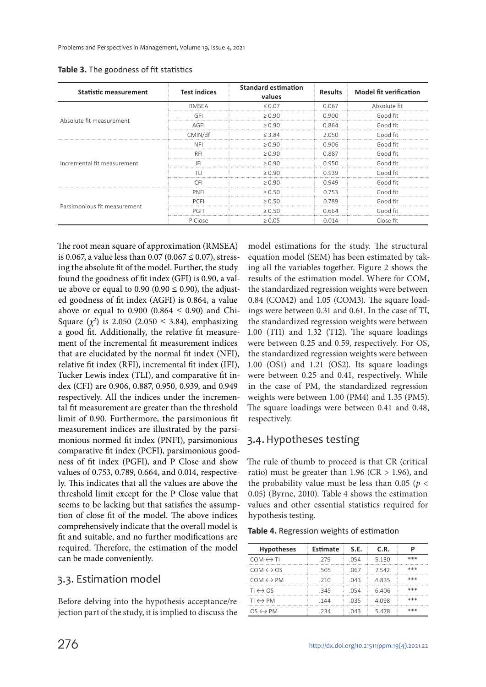| <b>Statistic measurement</b> | <b>Test indices</b> | <b>Standard estimation</b><br>values | <b>Results</b> | <b>Model fit verification</b> |
|------------------------------|---------------------|--------------------------------------|----------------|-------------------------------|
|                              | <b>RMSEA</b>        | < 0.07                               | 0.067          | Absolute fit                  |
|                              | GFI                 | > 0.90                               | 0.900          | Good fit                      |
| Absolute fit measurement     | AGFI                | > 0.90                               | 0.864          | Good fit                      |
|                              | CMIN/df             | < 3.84                               | 2.050          | Good fit                      |
|                              | <b>NFI</b>          | > 0.90                               | 0.906          | Good fit                      |
|                              | RF.                 | $\geq 0.90$                          | 0.887          | Good fit                      |
| Incremental fit measurement  | IFI                 | >0.90                                | 0.950          | Good fit                      |
|                              |                     | > 0.90                               | 0.939          | Good fit                      |
|                              | CEI                 | > 0.90                               | 0.949          | Good fit                      |
| Parsimonious fit measurement | PNFI                | > 0.50                               | በ 753          | Good fit                      |
|                              | PCEI                | > 0.50                               | 0.789          | Good fit                      |
|                              | PGFI                | > 0.50                               | 0.664          | Good fit                      |
|                              | P Close             | $\geq 0.05$                          | 0.014          | Close fit                     |

**Table 3.** The goodness of fit statistics

The root mean square of approximation (RMSEA) is 0.067, a value less than 0.07 (0.067  $\leq$  0.07), stressing the absolute fit of the model. Further, the study found the goodness of fit index (GFI) is 0.90, a value above or equal to  $0.90$  ( $0.90 \le 0.90$ ), the adjusted goodness of fit index (AGFI) is 0.864, a value above or equal to 0.900 (0.864  $\leq$  0.90) and Chi-Square  $(\chi^2)$  is 2.050 (2.050  $\leq$  3.84), emphasizing a good fit. Additionally, the relative fit measurement of the incremental fit measurement indices that are elucidated by the normal fit index (NFI), relative fit index (RFI), incremental fit index (IFI), Tucker Lewis index (TLI), and comparative fit index (CFI) are 0.906, 0.887, 0.950, 0.939, and 0.949 respectively. All the indices under the incremental fit measurement are greater than the threshold limit of 0.90. Furthermore, the parsimonious fit measurement indices are illustrated by the parsimonious normed fit index (PNFI), parsimonious comparative fit index (PCFI), parsimonious goodness of fit index (PGFI), and P Close and show values of 0.753, 0.789, 0.664, and 0.014, respectively. This indicates that all the values are above the threshold limit except for the P Close value that seems to be lacking but that satisfies the assumption of close fit of the model. The above indices comprehensively indicate that the overall model is fit and suitable, and no further modifications are required. Therefore, the estimation of the model can be made conveniently.

#### 3.3. Estimation model

Before delving into the hypothesis acceptance/rejection part of the study, it is implied to discuss the

model estimations for the study. The structural equation model (SEM) has been estimated by taking all the variables together. Figure 2 shows the results of the estimation model. Where for COM, the standardized regression weights were between 0.84 (COM2) and 1.05 (COM3). The square loadings were between 0.31 and 0.61. In the case of TI, the standardized regression weights were between 1.00 (TI1) and 1.32 (TI2). The square loadings were between 0.25 and 0.59, respectively. For OS, the standardized regression weights were between 1.00 (OS1) and 1.21 (OS2). Its square loadings were between 0.25 and 0.41, respectively. While in the case of PM, the standardized regression weights were between 1.00 (PM4) and 1.35 (PM5). The square loadings were between 0.41 and 0.48, respectively.

#### 3.4. Hypotheses testing

The rule of thumb to proceed is that CR (critical ratio) must be greater than 1.96 ( $CR > 1.96$ ), and the probability value must be less than 0.05 ( $p <$ 0.05) (Byrne, 2010). Table 4 shows the estimation values and other essential statistics required for hypothesis testing.

|  | Table 4. Regression weights of estimation |  |  |
|--|-------------------------------------------|--|--|
|--|-------------------------------------------|--|--|

| <b>Hypotheses</b>            | Estimate | S.E. | C.R.  | р   |
|------------------------------|----------|------|-------|-----|
| $COM \leftrightarrow \top I$ | 279      | .054 | 5.130 | *** |
| $COM \leftrightarrow OS$     | .505     | .067 | 7542  | *** |
| $COM \leftrightarrow PM$     | 210      | 043  | 4.835 | *** |
| $TI \leftrightarrow OS$      | .345     | 054  | 6406  | *** |
| $TI \leftrightarrow PM$      | -144     | .035 | 4.098 | *** |
| $OS \leftrightarrow PM$      | -234     | .043 | 5.478 | *** |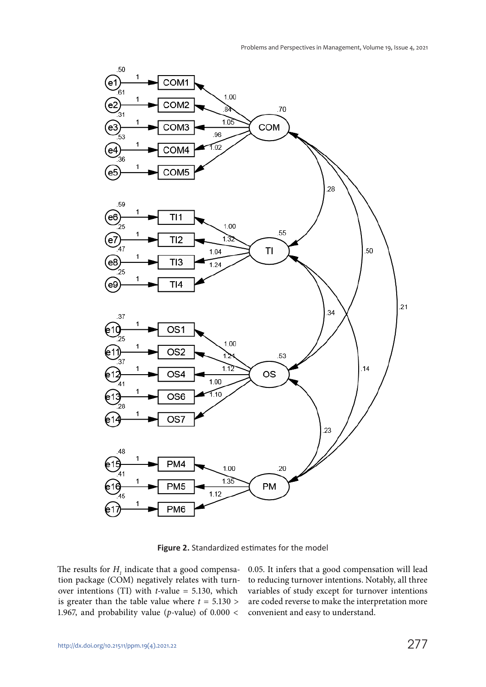

**Figure 2.** Standardized estimates for the model

The results for  $H_{1}$  indicate that a good compensation package (COM) negatively relates with turnover intentions (TI) with  $t$ -value = 5.130, which is greater than the table value where  $t = 5.130$  > 1.967, and probability value ( $p$ -value) of 0.000 < 0.05. It infers that a good compensation will lead to reducing turnover intentions. Notably, all three variables of study except for turnover intentions are coded reverse to make the interpretation more convenient and easy to understand.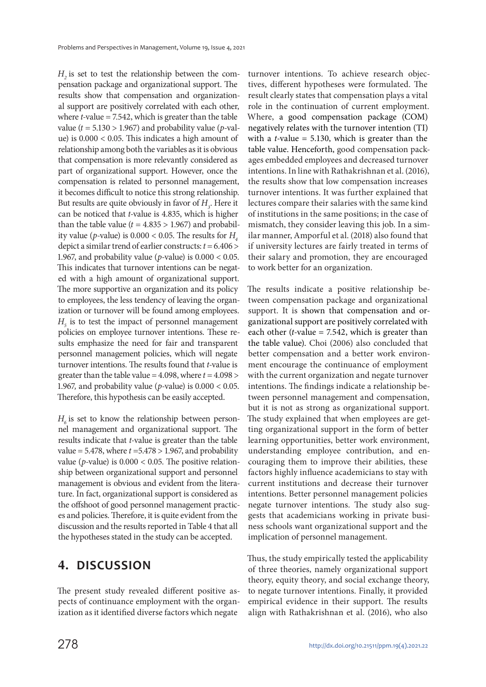$H_{2}$  is set to test the relationship between the compensation package and organizational support. The results show that compensation and organizational support are positively correlated with each other, where  $t$ -value = 7.542, which is greater than the table value ( $t = 5.130 > 1.967$ ) and probability value (p-value) is 0.000 < 0.05. This indicates a high amount of relationship among both the variables as it is obvious that compensation is more relevantly considered as part of organizational support. However, once the compensation is related to personnel management, it becomes difficult to notice this strong relationship. But results are quite obviously in favor of  $H<sub>3</sub>$ . Here it can be noticed that t-value is 4.835, which is higher than the table value ( $t = 4.835 > 1.967$ ) and probability value (p-value) is  $0.000 < 0.05$ . The results for  $H$ depict a similar trend of earlier constructs:  $t = 6.406$  > 1.967, and probability value (*p*-value) is  $0.000 < 0.05$ . This indicates that turnover intentions can be negated with a high amount of organizational support. The more supportive an organization and its policy to employees, the less tendency of leaving the organization or turnover will be found among employees.  $H<sub>5</sub>$  is to test the impact of personnel management policies on employee turnover intentions. These results emphasize the need for fair and transparent personnel management policies, which will negate turnover intentions. The results found that *t*-value is greater than the table value =  $4.098$ , where  $t = 4.098$  > 1.967, and probability value (*p*-value) is  $0.000 < 0.05$ . Therefore, this hypothesis can be easily accepted.

 $H_{\delta}$  is set to know the relationship between personnel management and organizational support. The results indicate that t-value is greater than the table value =  $5.478$ , where  $t = 5.478 > 1.967$ , and probability value ( $p$ -value) is  $0.000 < 0.05$ . The positive relationship between organizational support and personnel management is obvious and evident from the literature. In fact, organizational support is considered as the offshoot of good personnel management practices and policies. Therefore, it is quite evident from the discussion and the results reported in Table 4 that all the hypotheses stated in the study can be accepted.

#### **4. DISCUSSION**

The present study revealed different positive aspects of continuance employment with the organization as it identified diverse factors which negate

turnover intentions. To achieve research objectives, different hypotheses were formulated. The result clearly states that compensation plays a vital role in the continuation of current employment. Where, a good compensation package (COM) negatively relates with the turnover intention (TI) with a *t*-value = 5.130, which is greater than the table value. Henceforth, good compensation packages embedded employees and decreased turnover intentions. In line with Rathakrishnan et al. (2016), the results show that low compensation increases turnover intentions. It was further explained that lectures compare their salaries with the same kind of institutions in the same positions; in the case of mismatch, they consider leaving this job. In a similar manner, Amporful et al. (2018) also found that if university lectures are fairly treated in terms of their salary and promotion, they are encouraged to work better for an organization.

The results indicate a positive relationship between compensation package and organizational support. It is shown that compensation and organizational support are positively correlated with each other (*t*-value = 7.542, which is greater than the table value). Choi (2006) also concluded that better compensation and a better work environment encourage the continuance of employment with the current organization and negate turnover intentions. The findings indicate a relationship between personnel management and compensation, but it is not as strong as organizational support. The study explained that when employees are getting organizational support in the form of better learning opportunities, better work environment, understanding employee contribution, and encouraging them to improve their abilities, these factors highly influence academicians to stay with current institutions and decrease their turnover intentions. Better personnel management policies negate turnover intentions. The study also suggests that academicians working in private business schools want organizational support and the implication of personnel management.

Thus, the study empirically tested the applicability of three theories, namely organizational support theory, equity theory, and social exchange theory, to negate turnover intentions. Finally, it provided empirical evidence in their support. The results align with Rathakrishnan et al. (2016), who also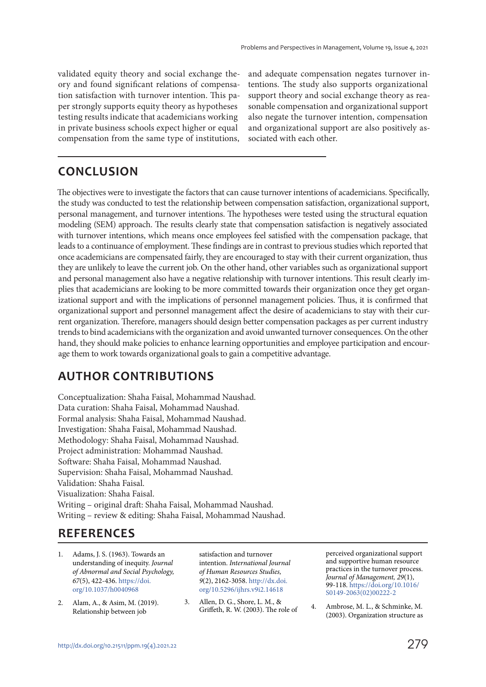validated equity theory and social exchange theory and found significant relations of compensation satisfaction with turnover intention. This paper strongly supports equity theory as hypotheses testing results indicate that academicians working in private business schools expect higher or equal compensation from the same type of institutions, and adequate compensation negates turnover intentions. The study also supports organizational support theory and social exchange theory as reasonable compensation and organizational support also negate the turnover intention, compensation and organizational support are also positively associated with each other.

## **CONCLUSION**

The objectives were to investigate the factors that can cause turnover intentions of academicians. Specifically, the study was conducted to test the relationship between compensation satisfaction, organizational support, personal management, and turnover intentions. The hypotheses were tested using the structural equation modeling (SEM) approach. The results clearly state that compensation satisfaction is negatively associated with turnover intentions, which means once employees feel satisfied with the compensation package, that leads to a continuance of employment. These findings are in contrast to previous studies which reported that once academicians are compensated fairly, they are encouraged to stay with their current organization, thus they are unlikely to leave the current job. On the other hand, other variables such as organizational support and personal management also have a negative relationship with turnover intentions. This result clearly implies that academicians are looking to be more committed towards their organization once they get organizational support and with the implications of personnel management policies. Thus, it is confirmed that organizational support and personnel management affect the desire of academicians to stay with their current organization. Therefore, managers should design better compensation packages as per current industry trends to bind academicians with the organization and avoid unwanted turnover consequences. On the other hand, they should make policies to enhance learning opportunities and employee participation and encourage them to work towards organizational goals to gain a competitive advantage.

## **AUTHOR CONTRIBUTIONS**

Conceptualization: Shaha Faisal, Mohammad Naushad. Data curation: Shaha Faisal, Mohammad Naushad. Formal analysis: Shaha Faisal, Mohammad Naushad. Investigation: Shaha Faisal, Mohammad Naushad. Methodology: Shaha Faisal, Mohammad Naushad. Project administration: Mohammad Naushad. Software: Shaha Faisal, Mohammad Naushad. Supervision: Shaha Faisal, Mohammad Naushad. Validation: Shaha Faisal. Visualization: Shaha Faisal. Writing – original draft: Shaha Faisal, Mohammad Naushad. Writing – review & editing: Shaha Faisal, Mohammad Naushad.

## **REFERENCES**

- 1. Adams, J. S. (1963). Towards an understanding of inequity. Journal of Abnormal and Social Psychology, 67(5), 422-436. https://doi. org/10.1037/h0040968
- 2. Alam, A., & Asim, M. (2019). Relationship between job

satisfaction and turnover intention. International Journal of Human Resources Studies, 9(2), 2162-3058. http://dx.doi. org/10.5296/ijhrs.v9i2.14618

3. Allen, D. G., Shore, L. M., & Griffeth, R. W. (2003). The role of perceived organizational support and supportive human resource practices in the turnover process. Journal of Management,  $29(1)$ , 99-118. https://doi.org/10.1016/ S0149-2063(02)00222-2

4. Ambrose, M. L., & Schminke, M. (2003). Organization structure as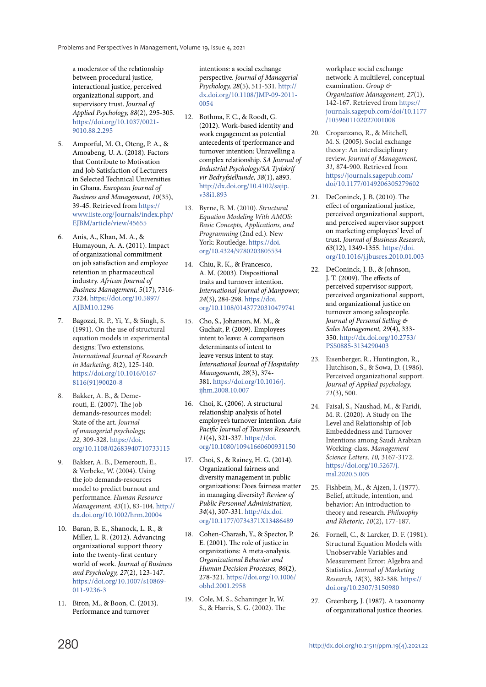a moderator of the relationship between procedural justice, interactional justice, perceived organizational support, and supervisory trust. Journal of Applied Psychology, 88(2), 295-305. https://doi.org/10.1037/0021- 9010.88.2.295

- 5. Amporful, M. O., Oteng, P. A., & Amoabeng, U. A. (2018). Factors that Contribute to Motivation and Job Satisfaction of Lecturers in Selected Technical Universities in Ghana. European Journal of Business and Management, 10(35), 39-45. Retrieved from https:// www.iiste.org/Journals/index.php/ EJBM/article/view/45655
- 6. Anis, A., Khan, M. A., & Humayoun, A. A. (2011). Impact of organizational commitment on job satisfaction and employee retention in pharmaceutical industry. African Journal of Business Management, 5(17), 7316- 7324. https://doi.org/10.5897/ AJBM10.1296
- 7. Bagozzi, R. P., Yi, Y., & Singh, S. (1991). On the use of structural equation models in experimental designs: Two extensions. International Journal of Research in Marketing, 8(2), 125-140. https://doi.org/10.1016/0167- 8116(91)90020-8
- Bakker, A. B., & Demerouti, E. (2007). The job demands‐resources model: State of the art. Journal of managerial psychology, 22, 309-328. https://doi. org/10.1108/02683940710733115
- 9. Bakker, A. B., Demerouti, E., & Verbeke, W. (2004). Using the job demands‐resources model to predict burnout and performance. Human Resource Management, 43(1), 83-104. http:// dx.doi.org/10.1002/hrm.20004
- 10. Baran, B. E., Shanock, L. R., & Miller, L. R. (2012). Advancing organizational support theory into the twenty-first century world of work. Journal of Business and Psychology, 27(2), 123-147. https://doi.org/10.1007/s10869- 011-9236-3
- 11. Biron, M., & Boon, C. (2013). Performance and turnover

intentions: a social exchange perspective. Journal of Managerial Psychology, 28(5), 511-531. http:// dx.doi.org/10.1108/JMP-09-2011- 0054

- 12. Bothma, F. C., & Roodt, G. (2012). Work-based identity and work engagement as potential antecedents of tperformance and turnover intention: Unravelling a complex relationship. SA Journal of Industrial Psychology/SA Tydskrif vir Bedryfsielkunde, 38(1), a893. http://dx.doi.org/10.4102/sajip. v38i1.893
- 13. Byrne, B. M. (2010). Structural Equation Modeling With AMOS: Basic Concepts, Applications, and Programming (2nd ed.). New York: Routledge. https://doi. org/10.4324/9780203805534
- 14. Chiu, R. K., & Francesco, A. M. (2003). Dispositional traits and turnover intention. International Journal of Manpower, 24(3), 284-298. https://doi. org/10.1108/01437720310479741
- 15. Cho, S., Johanson, M. M., & Guchait, P. (2009). Employees intent to leave: A comparison determinants of intent to leave versus intent to stay. International Journal of Hospitality Managementt, 28(3), 374- 381. https://doi.org/10.1016/j. ijhm.2008.10.007
- 16. Choi, K. (2006). A structural relationship analysis of hotel employee's turnover intention. Asia Pacific Journal of Tourism Research, 11(4), 321-337. https://doi. org/10.1080/10941660600931150
- 17. Choi, S., & Rainey, H. G. (2014). Organizational fairness and diversity management in public organizations: Does fairness matter in managing diversity? Review of Public Personnel Administration, 34(4), 307-331. http://dx.doi. org/10.1177/0734371X13486489
- 18. Cohen-Charash, Y., & Spector, P. E. (2001). The role of justice in organizations: A meta-analysis. Organizational Behavior and Human Decision Processes, 86(2), 278-321. https://doi.org/10.1006/ obhd.2001.2958
- 19. Cole, M. S., Schaninger Jr, W. S., & Harris, S. G. (2002). The

workplace social exchange network: A multilevel, conceptual examination. Group & Organization Management, 27(1), 142-167. Retrieved from https:// journals.sagepub.com/doi/10.1177 /1059601102027001008

- 20. Cropanzano, R., & Mitchell, M. S. (2005). Social exchange theory: An interdisciplinary review. Journal of Management, 31, 874-900. Retrieved from https://journals.sagepub.com/ doi/10.1177/0149206305279602
- 21. DeConinck, J. B. (2010). The effect of organizational justice, perceived organizational support, and perceived supervisor support on marketing employees' level of trust. Journal of Business Research, 63(12), 1349-1355. https://doi. org/10.1016/j.jbusres.2010.01.003
- 22. DeConinck, J. B., & Johnson, J. T. (2009). The effects of perceived supervisor support, perceived organizational support, and organizational justice on turnover among salespeople. Journal of Personal Selling & Sales Management, 29(4), 333- 350. http://dx.doi.org/10.2753/ PSS0885-3134290403
- 23. Eisenberger, R., Huntington, R., Hutchison, S., & Sowa, D. (1986). Perceived organizational support. Journal of Applied psychology, 71(3), 500.
- 24. Faisal, S., Naushad, M., & Faridi, M. R. (2020). A Study on The Level and Relationship of Job Embeddedness and Turnover Intentions among Saudi Arabian Working-class. Management Science Letters, 10, 3167-3172. https://doi.org/10.5267/j. msl.2020.5.005
- 25. Fishbein, M., & Ajzen, I. (1977). Belief, attitude, intention, and behavior: An introduction to theory and research. Philosophy and Rhetoric, 10(2), 177-187.
- 26. Fornell, C., & Larcker, D. F. (1981). Structural Equation Models with Unobservable Variables and Measurement Error: Algebra and Statistics. Journal of Marketing Research, 18(3), 382-388. https:// doi.org/10.2307/3150980
- 27. Greenberg, J. (1987). A taxonomy of organizational justice theories.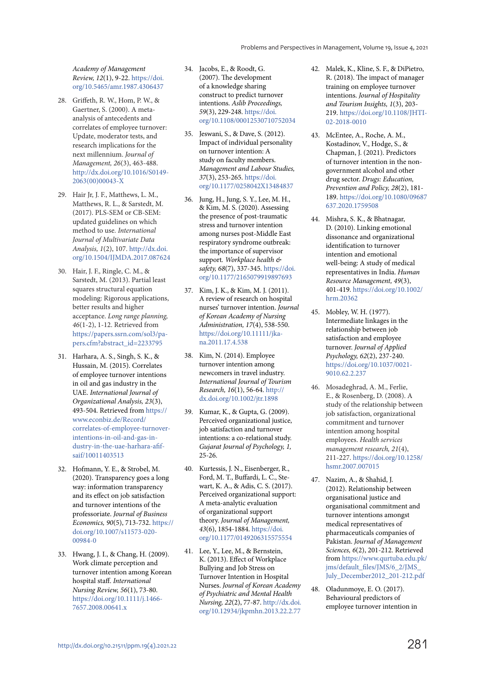Academy of Management Review, 12(1), 9-22. https://doi. org/10.5465/amr.1987.4306437

- 28. Griffeth, R. W., Hom, P. W., & Gaertner, S. (2000). A metaanalysis of antecedents and correlates of employee turnover: Update, moderator tests, and research implications for the next millennium. Journal of Management, 26(3), 463-488. http://dx.doi.org/10.1016/S0149- 2063(00)00043-X
- 29. Hair Jr, J. F., Matthews, L. M., Matthews, R. L., & Sarstedt, M. (2017). PLS-SEM or CB-SEM: updated guidelines on which method to use. International Journal of Multivariate Data Analysis, 1(2), 107. http://dx.doi. org/10.1504/IJMDA.2017.087624
- 30. Hair, J. F., Ringle, C. M., & Sarstedt, M. (2013). Partial least squares structural equation modeling: Rigorous applications, better results and higher acceptance. Long range planning, 46(1-2), 1-12. Retrieved from https://papers.ssrn.com/sol3/papers.cfm?abstract\_id=2233795
- 31. Harhara, A. S., Singh, S. K., & Hussain, M. (2015). Correlates of employee turnover intentions in oil and gas industry in the UAE. International Journal of Organizational Analysis, 23(3), 493-504. Retrieved from https:// www.econbiz.de/Record/ correlates-of-employee-turnoverintentions-in-oil-and-gas-industry-in-the-uae-harhara-afifsaif/10011403513
- 32. Hofmann, Y. E., & Strobel, M. (2020). Transparency goes a long way: information transparency and its effect on job satisfaction and turnover intentions of the professoriate. Journal of Business Economics, 90(5), 713-732. https:// doi.org/10.1007/s11573-020- 00984-0
- 33. Hwang, J. I., & Chang, H. (2009). Work climate perception and turnover intention among Korean hospital staff. International Nursing Review, 56(1), 73-80. https://doi.org/10.1111/j.1466- 7657.2008.00641.x
- 34. Jacobs, E., & Roodt, G. (2007). The development of a knowledge sharing construct to predict turnover intentions. Aslib Proceedings, 59(3), 229-248. https://doi. org/10.1108/00012530710752034
- 35. Jeswani, S., & Dave, S. (2012). Impact of individual personality on turnover intention: A study on faculty members. Management and Labour Studies, 37(3), 253-265. https://doi. org/10.1177/0258042X13484837
- 36. Jung, H., Jung, S. Y., Lee, M. H., & Kim, M. S. (2020). Assessing the presence of post-traumatic stress and turnover intention among nurses post-Middle East respiratory syndrome outbreak: the importance of supervisor support. Workplace health & safety, 68(7), 337-345. https://doi. org/10.1177/2165079919897693
- 37. Kim, J. K., & Kim, M. J. (2011). A review of research on hospital nurses' turnover intention. Journal of Korean Academy of Nursing Administration, 17(4), 538-550. https://doi.org/10.11111/jkana.2011.17.4.538
- 38. Kim, N. (2014). Employee turnover intention among newcomers in travel industry. International Journal of Tourism Research, 16(1), 56-64. http:// dx.doi.org/10.1002/jtr.1898
- 39. Kumar, K., & Gupta, G. (2009). Perceived organizational justice, job satisfaction and turnover intentions: a co-relational study. Gujarat Journal of Psychology, 1, 25-26.
- 40. Kurtessis, J. N., Eisenberger, R., Ford, M. T., Buffardi, L. C., Stewart, K. A., & Adis, C. S. (2017). Perceived organizational support: A meta-analytic evaluation of organizational support theory. Journal of Management, 43(6), 1854-1884. https://doi. org/10.1177/0149206315575554
- 41. Lee, Y., Lee, M., & Bernstein, K. (2013). Effect of Workplace Bullying and Job Stress on Turnover Intention in Hospital Nurses. Journal of Korean Academy of Psychiatric and Mental Health Nursing, 22(2), 77-87. http://dx.doi. org/10.12934/jkpmhn.2013.22.2.77
- 42. Malek, K., Kline, S. F., & DiPietro, R. (2018). The impact of manager training on employee turnover intentions. Journal of Hospitality and Tourism Insights, 1(3), 203- 219. https://doi.org/10.1108/JHTI-02-2018-0010
- 43. McEntee, A., Roche, A. M., Kostadinov, V., Hodge, S., & Chapman, J. (2021). Predictors of turnover intention in the nongovernment alcohol and other drug sector. Drugs: Education, Prevention and Policy, 28(2), 181- 189. https://doi.org/10.1080/09687 637.2020.1759508
- 44. Mishra, S. K., & Bhatnagar, D. (2010). Linking emotional dissonance and organizational identification to turnover intention and emotional well‐being: A study of medical representatives in India. Human Resource Management, 49(3), 401-419. https://doi.org/10.1002/ hrm.20362
- 45. Mobley, W. H. (1977). Intermediate linkages in the relationship between job satisfaction and employee turnover. Journal of Applied Psychology, 62(2), 237-240. https://doi.org/10.1037/0021- 9010.62.2.237
- 46. Mosadeghrad, A. M., Ferlie, E., & Rosenberg, D. (2008). A study of the relationship between job satisfaction, organizational commitment and turnover intention among hospital employees. Health services management research, 21(4), 211-227. https://doi.org/10.1258/ hsmr.2007.007015
- 47. Nazim, A., & Shahid, J. (2012). Relationship between organisational justice and organisational commitment and turnover intentions amongst medical representatives of pharmaceuticals companies of Pakistan. Journal of Management Sciences, 6(2), 201-212. Retrieved from https://www.qurtuba.edu.pk/ jms/default\_files/JMS/6\_2/JMS\_ July\_December2012\_201-212.pdf
- 48. Oladunmoye, E. O. (2017). Behavioural predictors of employee turnover intention in